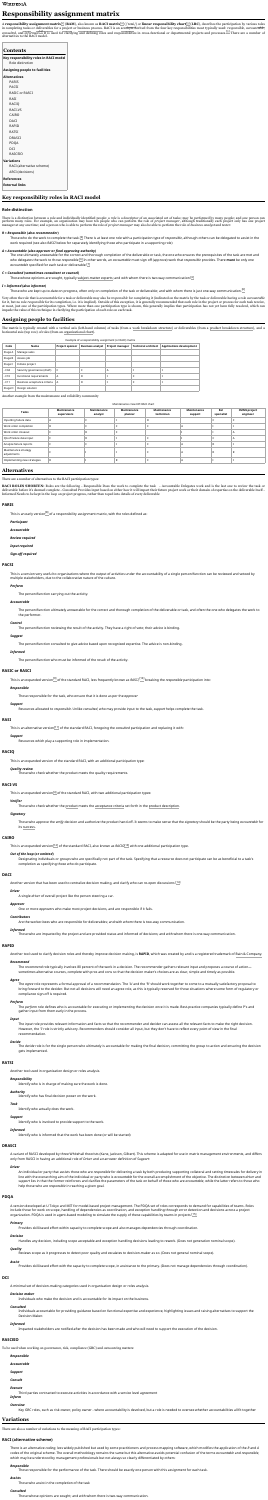# **Responsibility assignment matrix**

A **responsibility assignment matrix**[\[1\]](https://en.wikipedia.org/wiki/Responsibility_assignment_matrix#cite_note-pmbok-1) (**RAM**), also known as **RACI matrix**[\[2\]](https://en.wikipedia.org/wiki/Responsibility_assignment_matrix#cite_note-2) (/ˈreɪ[si/\)](https://en.wikipedia.org/wiki/Help:IPA/English) or **linear responsibility chart**[\[3\]](https://en.wikipedia.org/wiki/Responsibility_assignment_matrix#cite_note-3) (**LRC**), describes the participation by various [roles](https://en.wikipedia.org/wiki/Role) in completing [tasks](https://en.wikipedia.org/wiki/Task_(project_management)) or [deliverables](https://en.wikipedia.org/wiki/Deliverable) for a [project](https://en.wikipedia.org/wiki/Project) or [business](https://en.wikipedia.org/wiki/Business_process) process. RACI is an [acronym](https://en.wikipedia.org/wiki/Acronym) derived from the four key responsibilities most typically used: *responsible*, *accountable*, consulted, and *informed*.<sup>[\[4\]](https://en.wikipedia.org/wiki/Responsibility_assignment_matrix#cite_note-slaguide-4)</sup> It is used for clarifying and defining roles and responsibilities in cross-functional or departmental projects and processes.<sup>[\[5\]](https://en.wikipedia.org/wiki/Responsibility_assignment_matrix#cite_note-babok-5)</sup> There are a number of alternatives to the RACI model.

There is a distinction between a role and individually identified people: a *role* is a descriptor of an associated set of tasks; may be performed by many people; and one person can perform many roles. For example, an organization may have ten people who can perform the role of *project manager*, although traditionally each project only has one project manager at any one time; and a person who is able to perform the role of *project manager* may also be able to perform the role of *business analyst* and *tester*.

#### *R = Responsible* **(also** *recommender***)**

Those who do the work to complete the task. [\[6\]](https://en.wikipedia.org/wiki/Responsibility_assignment_matrix#cite_note-pmiforum-6) There is at least one role with a participation type of *responsible*, although others can be delegated to assist in the work required (see also *RASCI* below for separately identifying those who participate in a supporting role)

#### *A = Accountable* **(also** *approver* **or** *final approving authority***)**

The one ultimately answerable for the correct and thorough completion of the deliverable or task, the one who ensures the prerequisites of the task are met and who delegates the work to those *responsible*.<sup>[\[6\]](https://en.wikipedia.org/wiki/Responsibility_assignment_matrix#cite_note-pmiforum-6)</sup> In other words, an *accountable* must sign off (approve) work that *responsible* provides. There **must** be only one *accountable* specified for each task or deliverable. [\[7\]](https://en.wikipedia.org/wiki/Responsibility_assignment_matrix#cite_note-formal-7)

#### *C = Consulted* **(sometimes** *consultant* **or** *counsel***)**

Those whose opinions are sought, typically [subject-matter](https://en.wikipedia.org/wiki/Subject-matter_expert) experts; and with whom there is two-way communication. $^{\rm [6]}$  $^{\rm [6]}$  $^{\rm [6]}$ 

#### *I = Informed* **(also** *informee***)**

Those who are kept up-to-date on progress, often only on completion of the task or deliverable; and with whom there is just one-way communication. $^{\rm [6]}$  $^{\rm [6]}$  $^{\rm [6]}$ 

Very often the role that is *accountable* for a task or deliverable may also be *responsible* for completing it (indicated on the matrix by the task or deliverable having a role *accountable* for it, but no role *responsible* for its completion, i.e. it is implied). Outside of this exception, it is generally recommended that each role in the project or process for each task receive, at most, just one of the participation types. Where more than one participation type is shown, this generally implies that participation has not yet been fully resolved, which can impede the value of this technique in clarifying the participation of each role on each task.

The matrix is typically created with a vertical axis (left-hand column) of tasks (from a work [breakdown](https://en.wikipedia.org/wiki/Work_breakdown_structure) structure) or deliverables (from a product [breakdown](https://en.wikipedia.org/wiki/Product_breakdown_structure) structure), and a horizontal axis (top row) of roles (from an [organizational](https://en.wikipedia.org/wiki/Organizational_chart) chart).

|         |                             | Example of a responsibility assignment (or RACI) matrix |                                 |                         |                            |                                 |
|---------|-----------------------------|---------------------------------------------------------|---------------------------------|-------------------------|----------------------------|---------------------------------|
| Code    | <b>Name</b>                 | <b>Project sponsor</b>                                  | <b>Business analyst</b> $\vert$ | <b>Project manager</b>  | <b>Technical architect</b> | <b>Applications development</b> |
| Stage A | Manage sales                |                                                         |                                 |                         |                            |                                 |
| Stage B | Assess job                  |                                                         |                                 |                         |                            |                                 |
| Stage C | Initiate project            |                                                         |                                 |                         |                            |                                 |
| $-C04$  | Security governance (draft) |                                                         |                                 | $\overline{\mathsf{A}}$ |                            |                                 |

| $-C10$  | <b>Functional requirements</b>              |  |  |  |
|---------|---------------------------------------------|--|--|--|
| $-C11$  | $^{\circ}$ Business acceptance criteria $+$ |  |  |  |
| Stage D | $\perp$ Design solution                     |  |  |  |

Another example from the maintenance and reliability community

#### Maintenance crew KPI RACI chart

| <b>Tasks</b>                        | <b>Maintenance</b><br>supervisors | <b>Maintenance</b><br>analyst | <b>Maintenance</b><br>planner | <b>Maintenance</b><br>technician | <b>Maintenance</b><br>support | Rel<br>specialist | <b>CMMS project</b><br>engineer |
|-------------------------------------|-----------------------------------|-------------------------------|-------------------------------|----------------------------------|-------------------------------|-------------------|---------------------------------|
| Inputting failure data              |                                   |                               |                               | D<br>$\mathbf{R}$                |                               |                   |                                 |
| Work order completion               | R                                 |                               |                               |                                  | $\mathsf{A}$                  |                   |                                 |
| Work order closeout                 |                                   | R.                            |                               |                                  |                               |                   |                                 |
| QA of failure data input            |                                   | R.                            |                               |                                  |                               |                   | $\overline{A}$                  |
| Analyze failure reports             |                                   |                               |                               |                                  | $\mathsf{A}$                  | R                 |                                 |
| Maintenance strategy<br>adjustments |                                   |                               |                               |                                  | $\mathsf{A}$                  | R                 | R.                              |
| Implementing new strategies         | $\mathsf{R}$                      |                               | R                             |                                  | $\overline{A}$                |                   |                                 |

There are a number of alternatives to the RACI participation types:

**RACI ROLES SHORTEN:** Roles are the following - Responsible Does the work to complete the task - Accountable Delegates work and is the last one to review the task or deliverable before it's deemed complete - Consulted Provides input based on either how it will impact their future project work or their domain of expertise on the deliverable itself - Informed Needs to be kept in the loop on project progress, rather than roped into details of every deliverable

*Participant*

*Accountable*

*Review required*

*Input required*

*Sign-off required*

This is a version very useful to organizations where the output of activities under the accountability of a single person/function can be reviewed and vetoed by multiple stakeholders, due to the collaborative nature of the culture.

#### *Perform*

A version developed at U Tokyo and MIT for model-based project management. The PDQA set of roles corresponds to demand for capabilities of teams. Roles include those for work on scope, handling of dependencies as coordination, and exception handling through error detection and decisions across a project organization. PDQA is used in agent-based modeling to simulate the supply of these capabilities by teams in projects.<sup>[\[15\]](https://en.wikipedia.org/wiki/Responsibility_assignment_matrix#cite_note-15)</sup>

The person/function carrying out the activity.

#### *Accountable*

The person/function ultimately answerable for the correct and thorough completion of the deliverable or task, and often the one who delegates the work to the performer.

#### *Control*

The person/function reviewing the result of the activity. They have a right of veto; their advice is binding.

#### *Suggest*

The person/function consulted to give advice based upon recognized expertise. The advice is non-binding.

#### *Informed*

The person/function who must be informed of the result of the activity.

This is an expanded version [\[9\]](https://en.wikipedia.org/wiki/Responsibility_assignment_matrix#cite_note-9) of the standard RACI, less frequently known as *RASCI*, [\[10\]](https://en.wikipedia.org/wiki/Responsibility_assignment_matrix#cite_note-10) breaking the *responsible* participation into:

#### *Responsible*

Those responsible for the task, who ensure that it is done as per the *approver*

#### *Support*

Resources allocated to *responsible*. Unlike *consulted*, who may provide input to the task, *support* helps complete the task.

#### *Support*

Resources which play a supporting role in implementation.

This is an expanded version of the standard RACI, with an additional participation type:

#### *Quality review*

Those who check whether the product meets the quality requirements.

#### *Verifier*

Those who check whether the [product](https://en.wikipedia.org/wiki/Product_breakdown_structure) meets the [acceptance](https://en.wikipedia.org/wiki/Acceptance_testing) criteria set forth in the product [description.](https://en.wikipedia.org/wiki/Product_description)

#### *Signatory*

Those who approve the *verify* decision and authorize the product hand-off. It seems to make sense that the *signatory* should be the party being *accountable* for its [success.](https://en.wikipedia.org/w/index.php?title=Successor_(project_management)&action=edit&redlink=1)

| <b>Contents</b>                                            |
|------------------------------------------------------------|
| Key responsibility roles in RACI model<br>Role distinction |
| <b>Assigning people to facilities</b>                      |
| <b>Alternatives</b>                                        |
| <b>PARIS</b>                                               |
| <b>PACSI</b>                                               |
| RASIC or RASCI                                             |
| RASI                                                       |
| RACIQ                                                      |
| <b>RACI-VS</b>                                             |
| <b>CAIRO</b>                                               |
| DACI                                                       |
| RAPID                                                      |
| RATSI                                                      |
| <b>DRASCI</b>                                              |
| <b>PDQA</b>                                                |
| DCI                                                        |
| <b>RASCEIO</b>                                             |
| <b>Variations</b>                                          |
| RACI (alternative scheme)                                  |
| <b>ARCI</b> (decisions)                                    |
| <b>References</b>                                          |
| <b>External links</b>                                      |

#### *Out of the loop* **(or** *omitted***)**

Designating individuals or groups who are specifically not part of the task. Specifying that a resource does not participate can be as beneficial to a task's completion as specifying those who do participate.

#### *Driver*

A single *driver* of overall project like the person steering a car.

# *Approver*

One or more *approver*s who make most project decisions, and are responsible if it fails.

#### *Contributors*

Are the worker-bees who are responsible for deliverables; and with whom there is two-way communication.

#### *Informed*

Those who are impacted by the project and are provided status and informed of decisions; and with whom there is one-way communication.

Another tool used to clarify decision roles and thereby improve decision making, is **RAPID**, which was created by and is a registered trademark of Bain & [Company.](https://en.wikipedia.org/wiki/Bain_%26_Company)

#### *Recommend*

The *recommend* role typically involves 80 percent of the work in a decision. The recommender gathers relevant input and proposes a course of action sometimes alternative courses, complete with pros and cons so that the decision maker's choices are as clear, simple and timely as possible.

#### *Agree*

The *agree* role represents a formal approval of a recommendation. The 'A' and the 'R' should work together to come to a mutually satisfactory proposal to bring forward to the decider. But not all decisions will need an agree role, as this is typically reserved for those situations where some form of regulatory or compliance sign-off is required.

#### *Perform*

The *perform* role defines who is accountable for executing or implementing the decision once it is made. Best-practice companies typically define P's and gather input from them early in the process.

#### *Input*

The *input* role provides relevant information and facts so that the recommender and decider can assess all the relevant facts to make the right decision. However, the 'I' role is strictly advisory. Recommenders should consider all input, but they don't have to reflect every point of view in the final recommendation.

#### *Decide*

The *decide* role is for the single person who ultimately is accountable for making the final decision, committing the group to action and ensuring the decision gets implemented.

Another tool used in organization design or roles analysis.

#### *Responsibility*

Identify who is in charge of making sure the work is done.

# *Authority*

Identify who has final decision power on the work.

# *Task*

Identify who actually does the work.

# *Support*

Identify who is involved to provide support to the work.

#### *Informed*

Identify who is informed that the work has been done (or will be started)

A variant of RASCI developed by three Whitehall theorists (Kane, Jackson, Gilbert). This scheme is adapted for use in matrix management environments, and differs only from RASCI in having an additional role of *Driver* and a narrower definition of *Support*:

#### *Driver*

An individual or party that assists those who are *responsible* for delivering a task by both producing supporting collateral and setting timescales for delivery in line with the overarching aim of the individual or party who is *accountable* for the overall accomplishment of the objective. The distinction between *driver* and *support* lies in that the former reinforces and clarifies the parameters of the task on behalf of those who are *accountable*, while the latter refers to those who help those who are *responsible* in reaching a given goal.

#### *Primary*

Provides skill-based effort within capacity to complete scope and also manages dependencies through coordination.

#### *Decision*

Handles any decision, including scope acceptable and exception handling decisions leading to rework. (Does not generation nominal scope).

#### *Quality*

Reviews scope as it progresses to detect poor quality and escalates to decision-maker as so. (Does not general nominal scope).

#### *Assist*

Provides skill-based effort with the capacity to complete scope, in assistance to the primary. (Does not manage dependencies through coordination).

A minimal set of decision-making categories used in organisation design or roles analysis.

#### *Decision maker*

Individuals who make the decision and is accountable for its impact on the business.

#### *Consulted*

Individuals accountable for providing guidance based on functional expertise and experience, highlighting issues and raising alternatives to support the Decision Maker.

#### *Informed*

Impacted stakeholders are notified after the decision has been made and who will need to support the execution of the decision.

To be used when working on governance, risk, compliance (GRC) and outsourcing matters:

#### *Responsible*

- *Accountable*
- *Support*

# *Consult*

#### *Execute*

Third parties contracted to execute activities in accordance with a service level agreement

# *Inform*

*Overview*

Key GRC roles, such as risk owner, policy owner - where accountability is devolved, but a role is needed to oversee whether accountabilities all fit together

There are also a number of variations to the meaning of RACI participation types:

There is an alternative *coding*, less widely published but used by some practitioners and process mapping software, which modifies the application of the *R* and *A* codes of the original scheme. The overall methodology remains the same but this alternative avoids potential confusion of the terms *accountable* and *responsible*, which may be understood by management professionals but not always so clearly differentiated by others:

# *Responsible*

Those responsible for the performance of the task. There should be exactly one person with this assignment for each task.

# *Assists*

Those who assist in the completion of the task

# *Consulted*

Those whose opinions are sought; and with whom there is two-way communication.

# **Key responsibility roles in RACI model**

# **Role distinction**

# **Assigning people to facilities**

# **Alternatives**

# **PARIS**

This is an early version $^{[8]}$  $^{[8]}$  $^{[8]}$  of a responsibility assignment matrix, with the roles defined as:

#### **PACSI**

### **RASIC or RASCI**

# **RASI**

This is an alternative version<sup>[\[11\]](https://en.wikipedia.org/wiki/Responsibility_assignment_matrix#cite_note-LCE_Training-11)</sup> of the standard RACI, foregoing the *consulted* participation and replacing it with:

### **RACIQ**

### **RACI-VS**

This is an expanded version $^{[4]}$  $^{[4]}$  $^{[4]}$  of the standard RACI, with two additional participation types:

#### **CAIRO**

This is an expanded version<sup>[\[12\]](https://en.wikipedia.org/wiki/Responsibility_assignment_matrix#cite_note-12)</sup> of the standard RACI, also known as *RACIO*<sup>[\[13\]](https://en.wikipedia.org/wiki/Responsibility_assignment_matrix#cite_note-13)</sup> with one additional participation type.

#### **DACI**

Another version that has been used to centralize decision making, and clarify who can re-open discussions.<sup>[\[14\]](https://en.wikipedia.org/wiki/Responsibility_assignment_matrix#cite_note-14)</sup>

#### **RAPID**

#### **RATSI**

### **DRASCI**

#### **PDQA**

#### **DCI**

### **RASCEIO**

# **Variations**

# **RACI (alternative scheme)**